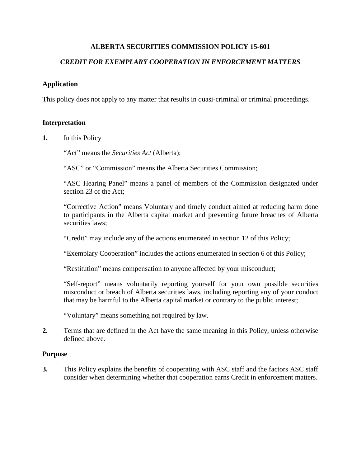# **ALBERTA SECURITIES COMMISSION POLICY 15-601**

# *CREDIT FOR EXEMPLARY COOPERATION IN ENFORCEMENT MATTERS*

## **Application**

This policy does not apply to any matter that results in quasi-criminal or criminal proceedings.

## **Interpretation**

**1.** In this Policy

"Act" means the *Securities Act* (Alberta);

"ASC" or "Commission" means the Alberta Securities Commission;

"ASC Hearing Panel" means a panel of members of the Commission designated under section 23 of the Act;

"Corrective Action" means Voluntary and timely conduct aimed at reducing harm done to participants in the Alberta capital market and preventing future breaches of Alberta securities laws;

"Credit" may include any of the actions enumerated in section 12 of this Policy;

"Exemplary Cooperation" includes the actions enumerated in section 6 of this Policy;

"Restitution" means compensation to anyone affected by your misconduct;

"Self-report" means voluntarily reporting yourself for your own possible securities misconduct or breach of Alberta securities laws, including reporting any of your conduct that may be harmful to the Alberta capital market or contrary to the public interest;

"Voluntary" means something not required by law.

**2.** Terms that are defined in the Act have the same meaning in this Policy, unless otherwise defined above.

## **Purpose**

**3.** This Policy explains the benefits of cooperating with ASC staff and the factors ASC staff consider when determining whether that cooperation earns Credit in enforcement matters.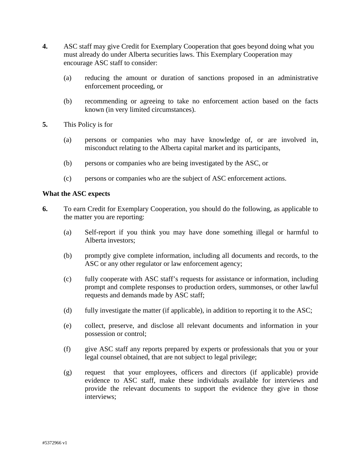- **4.** ASC staff may give Credit for Exemplary Cooperation that goes beyond doing what you must already do under Alberta securities laws. This Exemplary Cooperation may encourage ASC staff to consider:
	- (a) reducing the amount or duration of sanctions proposed in an administrative enforcement proceeding, or
	- (b) recommending or agreeing to take no enforcement action based on the facts known (in very limited circumstances).
- **5.** This Policy is for
	- (a) persons or companies who may have knowledge of, or are involved in, misconduct relating to the Alberta capital market and its participants,
	- (b) persons or companies who are being investigated by the ASC, or
	- (c) persons or companies who are the subject of ASC enforcement actions.

#### **What the ASC expects**

- **6.** To earn Credit for Exemplary Cooperation, you should do the following, as applicable to the matter you are reporting:
	- (a) Self-report if you think you may have done something illegal or harmful to Alberta investors;
	- (b) promptly give complete information, including all documents and records, to the ASC or any other regulator or law enforcement agency;
	- (c) fully cooperate with ASC staff's requests for assistance or information, including prompt and complete responses to production orders, summonses, or other lawful requests and demands made by ASC staff;
	- (d) fully investigate the matter (if applicable), in addition to reporting it to the ASC;
	- (e) collect, preserve, and disclose all relevant documents and information in your possession or control;
	- (f) give ASC staff any reports prepared by experts or professionals that you or your legal counsel obtained, that are not subject to legal privilege;
	- (g) request that your employees, officers and directors (if applicable) provide evidence to ASC staff, make these individuals available for interviews and provide the relevant documents to support the evidence they give in those interviews;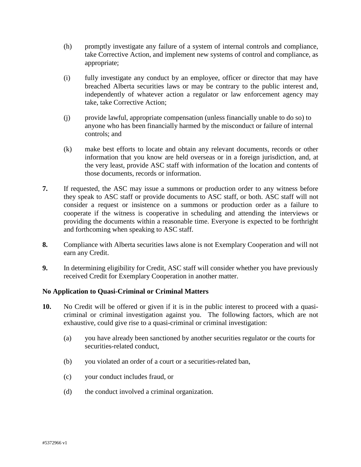- (h) promptly investigate any failure of a system of internal controls and compliance, take Corrective Action, and implement new systems of control and compliance, as appropriate;
- (i) fully investigate any conduct by an employee, officer or director that may have breached Alberta securities laws or may be contrary to the public interest and, independently of whatever action a regulator or law enforcement agency may take, take Corrective Action;
- (j) provide lawful, appropriate compensation (unless financially unable to do so) to anyone who has been financially harmed by the misconduct or failure of internal controls; and
- (k) make best efforts to locate and obtain any relevant documents, records or other information that you know are held overseas or in a foreign jurisdiction, and, at the very least, provide ASC staff with information of the location and contents of those documents, records or information.
- **7.** If requested, the ASC may issue a summons or production order to any witness before they speak to ASC staff or provide documents to ASC staff, or both. ASC staff will not consider a request or insistence on a summons or production order as a failure to cooperate if the witness is cooperative in scheduling and attending the interviews or providing the documents within a reasonable time. Everyone is expected to be forthright and forthcoming when speaking to ASC staff.
- **8.** Compliance with Alberta securities laws alone is not Exemplary Cooperation and will not earn any Credit.
- **9.** In determining eligibility for Credit, ASC staff will consider whether you have previously received Credit for Exemplary Cooperation in another matter.

# **No Application to Quasi-Criminal or Criminal Matters**

- **10.** No Credit will be offered or given if it is in the public interest to proceed with a quasicriminal or criminal investigation against you. The following factors, which are not exhaustive, could give rise to a quasi-criminal or criminal investigation:
	- (a) you have already been sanctioned by another securities regulator or the courts for securities-related conduct,
	- (b) you violated an order of a court or a securities-related ban,
	- (c) your conduct includes fraud, or
	- (d) the conduct involved a criminal organization.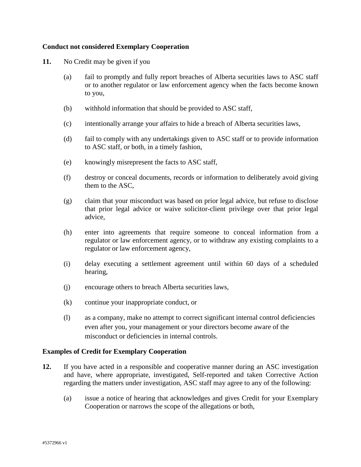## **Conduct not considered Exemplary Cooperation**

- **11.** No Credit may be given if you
	- (a) fail to promptly and fully report breaches of Alberta securities laws to ASC staff or to another regulator or law enforcement agency when the facts become known to you,
	- (b) withhold information that should be provided to ASC staff,
	- (c) intentionally arrange your affairs to hide a breach of Alberta securities laws,
	- (d) fail to comply with any undertakings given to ASC staff or to provide information to ASC staff, or both, in a timely fashion,
	- (e) knowingly misrepresent the facts to ASC staff,
	- (f) destroy or conceal documents, records or information to deliberately avoid giving them to the ASC,
	- (g) claim that your misconduct was based on prior legal advice, but refuse to disclose that prior legal advice or waive solicitor-client privilege over that prior legal advice,
	- (h) enter into agreements that require someone to conceal information from a regulator or law enforcement agency, or to withdraw any existing complaints to a regulator or law enforcement agency,
	- (i) delay executing a settlement agreement until within 60 days of a scheduled hearing,
	- (j) encourage others to breach Alberta securities laws,
	- (k) continue your inappropriate conduct, or
	- (l) as a company, make no attempt to correct significant internal control deficiencies even after you, your management or your directors become aware of the misconduct or deficiencies in internal controls.

#### **Examples of Credit for Exemplary Cooperation**

- **12.** If you have acted in a responsible and cooperative manner during an ASC investigation and have, where appropriate, investigated, Self-reported and taken Corrective Action regarding the matters under investigation, ASC staff may agree to any of the following:
	- (a) issue a notice of hearing that acknowledges and gives Credit for your Exemplary Cooperation or narrows the scope of the allegations or both,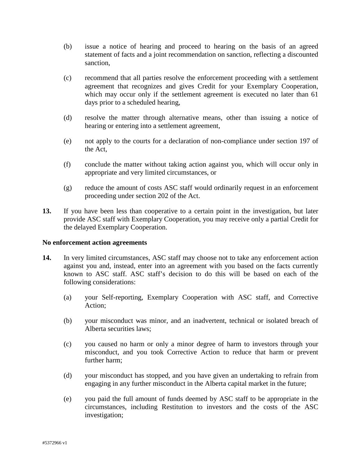- (b) issue a notice of hearing and proceed to hearing on the basis of an agreed statement of facts and a joint recommendation on sanction, reflecting a discounted sanction,
- (c) recommend that all parties resolve the enforcement proceeding with a settlement agreement that recognizes and gives Credit for your Exemplary Cooperation, which may occur only if the settlement agreement is executed no later than 61 days prior to a scheduled hearing,
- (d) resolve the matter through alternative means, other than issuing a notice of hearing or entering into a settlement agreement,
- (e) not apply to the courts for a declaration of non-compliance under section 197 of the Act*,*
- (f) conclude the matter without taking action against you, which will occur only in appropriate and very limited circumstances, or
- (g) reduce the amount of costs ASC staff would ordinarily request in an enforcement proceeding under section 202 of the Act.
- **13.** If you have been less than cooperative to a certain point in the investigation, but later provide ASC staff with Exemplary Cooperation, you may receive only a partial Credit for the delayed Exemplary Cooperation.

#### **No enforcement action agreements**

- **14.** In very limited circumstances, ASC staff may choose not to take any enforcement action against you and, instead, enter into an agreement with you based on the facts currently known to ASC staff. ASC staff's decision to do this will be based on each of the following considerations:
	- (a) your Self-reporting, Exemplary Cooperation with ASC staff, and Corrective Action;
	- (b) your misconduct was minor, and an inadvertent, technical or isolated breach of Alberta securities laws;
	- (c) you caused no harm or only a minor degree of harm to investors through your misconduct, and you took Corrective Action to reduce that harm or prevent further harm;
	- (d) your misconduct has stopped, and you have given an undertaking to refrain from engaging in any further misconduct in the Alberta capital market in the future;
	- (e) you paid the full amount of funds deemed by ASC staff to be appropriate in the circumstances, including Restitution to investors and the costs of the ASC investigation;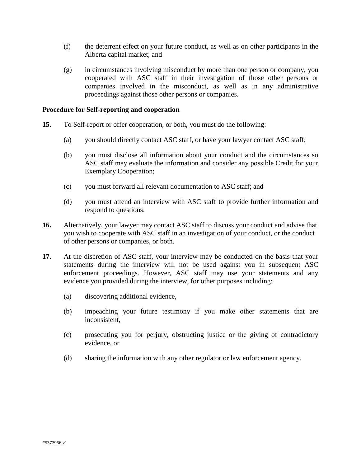- (f) the deterrent effect on your future conduct, as well as on other participants in the Alberta capital market; and
- (g) in circumstances involving misconduct by more than one person or company, you cooperated with ASC staff in their investigation of those other persons or companies involved in the misconduct, as well as in any administrative proceedings against those other persons or companies.

#### **Procedure for Self-reporting and cooperation**

- **15.** To Self-report or offer cooperation, or both, you must do the following:
	- (a) you should directly contact ASC staff, or have your lawyer contact ASC staff;
	- (b) you must disclose all information about your conduct and the circumstances so ASC staff may evaluate the information and consider any possible Credit for your Exemplary Cooperation;
	- (c) you must forward all relevant documentation to ASC staff; and
	- (d) you must attend an interview with ASC staff to provide further information and respond to questions.
- **16.** Alternatively, your lawyer may contact ASC staff to discuss your conduct and advise that you wish to cooperate with ASC staff in an investigation of your conduct, or the conduct of other persons or companies, or both.
- **17.** At the discretion of ASC staff, your interview may be conducted on the basis that your statements during the interview will not be used against you in subsequent ASC enforcement proceedings. However, ASC staff may use your statements and any evidence you provided during the interview, for other purposes including:
	- (a) discovering additional evidence,
	- (b) impeaching your future testimony if you make other statements that are inconsistent,
	- (c) prosecuting you for perjury, obstructing justice or the giving of contradictory evidence, or
	- (d) sharing the information with any other regulator or law enforcement agency.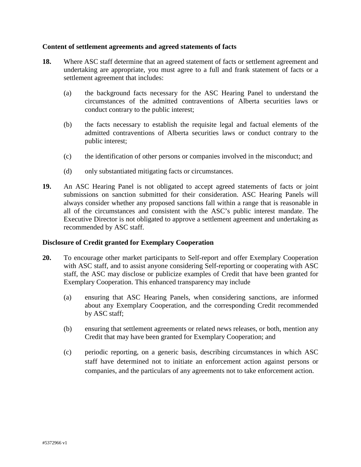#### **Content of settlement agreements and agreed statements of facts**

- **18.** Where ASC staff determine that an agreed statement of facts or settlement agreement and undertaking are appropriate, you must agree to a full and frank statement of facts or a settlement agreement that includes:
	- (a) the background facts necessary for the ASC Hearing Panel to understand the circumstances of the admitted contraventions of Alberta securities laws or conduct contrary to the public interest;
	- (b) the facts necessary to establish the requisite legal and factual elements of the admitted contraventions of Alberta securities laws or conduct contrary to the public interest;
	- (c) the identification of other persons or companies involved in the misconduct; and
	- (d) only substantiated mitigating facts or circumstances.
- **19.** An ASC Hearing Panel is not obligated to accept agreed statements of facts or joint submissions on sanction submitted for their consideration. ASC Hearing Panels will always consider whether any proposed sanctions fall within a range that is reasonable in all of the circumstances and consistent with the ASC's public interest mandate. The Executive Director is not obligated to approve a settlement agreement and undertaking as recommended by ASC staff.

## **Disclosure of Credit granted for Exemplary Cooperation**

- **20.** To encourage other market participants to Self-report and offer Exemplary Cooperation with ASC staff, and to assist anyone considering Self-reporting or cooperating with ASC staff, the ASC may disclose or publicize examples of Credit that have been granted for Exemplary Cooperation. This enhanced transparency may include
	- (a) ensuring that ASC Hearing Panels, when considering sanctions, are informed about any Exemplary Cooperation, and the corresponding Credit recommended by ASC staff;
	- (b) ensuring that settlement agreements or related news releases, or both, mention any Credit that may have been granted for Exemplary Cooperation; and
	- (c) periodic reporting, on a generic basis, describing circumstances in which ASC staff have determined not to initiate an enforcement action against persons or companies, and the particulars of any agreements not to take enforcement action.